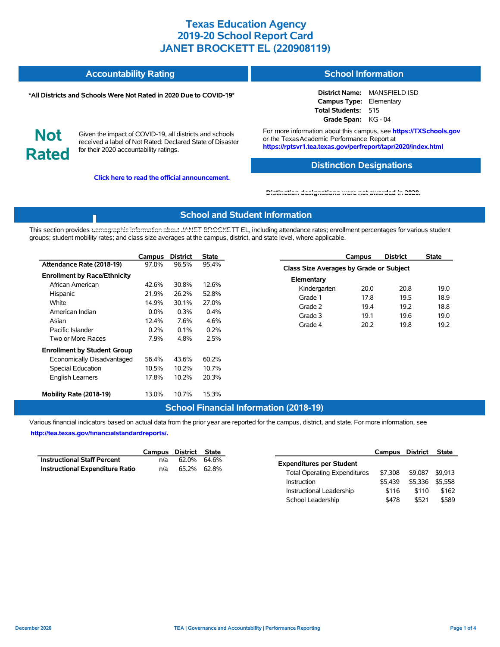| <b>Accountability Rating</b> | School Information |
|------------------------------|--------------------|
|                              |                    |

#### **\*All Districts and Schools Were Not Rated in 2020 Due to COVID-19\***

# **District Name:** MANSFIELD ISD

**Campus Type:** Elementary **Total Students:** 515 **Grade Span:** KG - 04

**Not Rated**

Given the impact of COVID-19, all districts and schools received a label of Not Rated: Declared State of Disaster for their 2020 accountability ratings.

**Click here to read the official announcement.**

For more information about this campus, see **https://TXSchools.gov** or the Texas Academic Performance Report at **https://rptsvr1.tea.texas.gov/perfreport/tapr/2020/index.html**

### **Distinction Designations**

Instructional Leadership  $$116$  \$110 \$162 School Leadership  $$478$  \$521 \$589

**[Distinction designations were not awarded in 2020.](https://rptsvr1.tea.texas.gov/perfreport/tapr/2020/index.html)**

#### **School and Student Information**

This section provides [demographic information about JANET BROCKE](https://tea.texas.gov/about-tea/news-and-multimedia/correspondence/taa-letters/every-student-succeeds-act-essa-waiver-approval-2020-state-academic-accountability)TT EL, including attendance rates; enrollment percentages for various student groups; student mobility rates; and class size averages at the campus, district, and state level, where applicable.

|                                                                                                                                                   | Campus                                                      | <b>District</b>                                         | <b>State</b>                                            |                                                                        | Campus                                  | <b>District</b>                      | <b>State</b>                         |  |
|---------------------------------------------------------------------------------------------------------------------------------------------------|-------------------------------------------------------------|---------------------------------------------------------|---------------------------------------------------------|------------------------------------------------------------------------|-----------------------------------------|--------------------------------------|--------------------------------------|--|
| Attendance Rate (2018-19)                                                                                                                         | 97.0%                                                       | 96.5%                                                   | 95.4%                                                   |                                                                        | Class Size Averages by Grade or Subject |                                      |                                      |  |
| <b>Enrollment by Race/Ethnicity</b><br>African American<br>Hispanic<br>White<br>American Indian<br>Asian<br>Pacific Islander<br>Two or More Races | 42.6%<br>21.9%<br>14.9%<br>$0.0\%$<br>12.4%<br>0.2%<br>7.9% | 30.8%<br>26.2%<br>30.1%<br>0.3%<br>7.6%<br>0.1%<br>4.8% | 12.6%<br>52.8%<br>27.0%<br>0.4%<br>4.6%<br>0.2%<br>2.5% | Elementary<br>Kindergarten<br>Grade 1<br>Grade 2<br>Grade 3<br>Grade 4 | 20.0<br>17.8<br>19.4<br>19.1<br>20.2    | 20.8<br>19.5<br>19.2<br>19.6<br>19.8 | 19.0<br>18.9<br>18.8<br>19.0<br>19.2 |  |
| <b>Enrollment by Student Group</b><br>Economically Disadvantaged<br>Special Education<br><b>English Learners</b><br>Mobility Rate (2018-19)       | 56.4%<br>10.5%<br>17.8%<br>13.0%                            | 43.6%<br>10.2%<br>10.2%<br>10.7%                        | 60.2%<br>10.7%<br>20.3%<br>15.3%                        |                                                                        |                                         |                                      |                                      |  |

### **School Financial Information (2018-19)**

Various financial indicators based on actual data from the prior year are reported for the campus, district, and state. For more information, see

**[http://tea.texas.gov/financialstandardreports/.](http://tea.texas.gov/financialstandardreports/)**

|                                    | Campus District State |             | Campus District                                |                 | State   |
|------------------------------------|-----------------------|-------------|------------------------------------------------|-----------------|---------|
| <b>Instructional Staff Percent</b> | n/a                   | 62.0% 64.6% | <b>Expenditures per Student</b>                |                 |         |
| Instructional Expenditure Ratio    | n/a                   | 65.2% 62.8% | \$7.308<br><b>Total Operating Expenditures</b> | \$9,087         | \$9,913 |
|                                    |                       |             | \$5.439<br>Instruction                         | \$5,336 \$5,558 |         |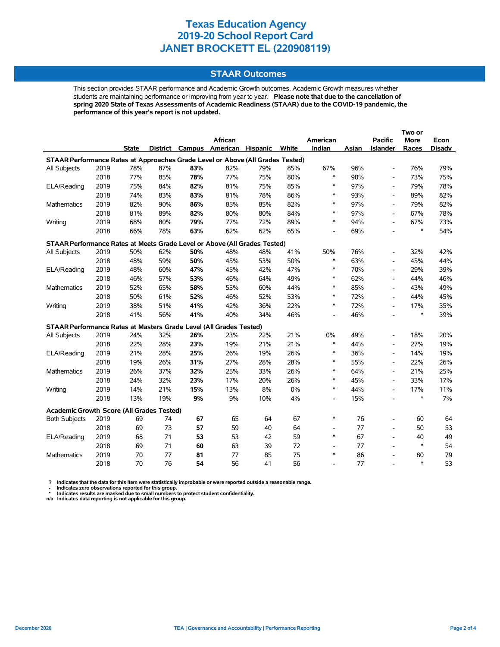### **STAAR Outcomes**

This section provides STAAR performance and Academic Growth outcomes. Academic Growth measures whether students are maintaining performance or improving from year to year. **Please note that due to the cancellation of spring 2020 State of Texas Assessments of Academic Readiness (STAAR) due to the COVID-19 pandemic, the performance of this year's report is not updated.**

|                                                                                |      |              |     |     |                                   |     |       |                          |       | Two or                   |             |               |  |
|--------------------------------------------------------------------------------|------|--------------|-----|-----|-----------------------------------|-----|-------|--------------------------|-------|--------------------------|-------------|---------------|--|
|                                                                                |      |              |     |     | African                           |     |       | American                 |       | <b>Pacific</b>           | <b>More</b> | Econ          |  |
|                                                                                |      | <b>State</b> |     |     | District Campus American Hispanic |     | White | Indian                   | Asian | Islander                 | Races       | <b>Disadv</b> |  |
| STAAR Performance Rates at Approaches Grade Level or Above (All Grades Tested) |      |              |     |     |                                   |     |       |                          |       |                          |             |               |  |
| All Subjects                                                                   | 2019 | 78%          | 87% | 83% | 82%                               | 79% | 85%   | 67%                      | 96%   | $\overline{\phantom{a}}$ | 76%         | 79%           |  |
|                                                                                | 2018 | 77%          | 85% | 78% | 77%                               | 75% | 80%   | $\ast$                   | 90%   | $\overline{\phantom{a}}$ | 73%         | 75%           |  |
| ELA/Reading                                                                    | 2019 | 75%          | 84% | 82% | 81%                               | 75% | 85%   | $\ast$                   | 97%   | $\overline{\phantom{a}}$ | 79%         | 78%           |  |
|                                                                                | 2018 | 74%          | 83% | 83% | 81%                               | 78% | 86%   | $\ast$                   | 93%   | $\overline{\phantom{a}}$ | 89%         | 82%           |  |
| <b>Mathematics</b>                                                             | 2019 | 82%          | 90% | 86% | 85%                               | 85% | 82%   | $\ast$                   | 97%   | $\overline{\phantom{a}}$ | 79%         | 82%           |  |
|                                                                                | 2018 | 81%          | 89% | 82% | 80%                               | 80% | 84%   | $\ast$                   | 97%   | $\overline{\phantom{a}}$ | 67%         | 78%           |  |
| Writing                                                                        | 2019 | 68%          | 80% | 79% | 77%                               | 72% | 89%   | $\ast$                   | 94%   | $\overline{\phantom{a}}$ | 67%         | 73%           |  |
|                                                                                | 2018 | 66%          | 78% | 63% | 62%                               | 62% | 65%   | $\overline{\phantom{0}}$ | 69%   | $\overline{\phantom{a}}$ | $\ast$      | 54%           |  |
| STAAR Performance Rates at Meets Grade Level or Above (All Grades Tested)      |      |              |     |     |                                   |     |       |                          |       |                          |             |               |  |
| All Subjects                                                                   | 2019 | 50%          | 62% | 50% | 48%                               | 48% | 41%   | 50%                      | 76%   | $\blacksquare$           | 32%         | 42%           |  |
|                                                                                | 2018 | 48%          | 59% | 50% | 45%                               | 53% | 50%   | $\ast$                   | 63%   | $\blacksquare$           | 45%         | 44%           |  |
| ELA/Reading                                                                    | 2019 | 48%          | 60% | 47% | 45%                               | 42% | 47%   | $\ast$                   | 70%   | $\overline{\phantom{a}}$ | 29%         | 39%           |  |
|                                                                                | 2018 | 46%          | 57% | 53% | 46%                               | 64% | 49%   | $\ast$                   | 62%   | $\blacksquare$           | 44%         | 46%           |  |
| Mathematics                                                                    | 2019 | 52%          | 65% | 58% | 55%                               | 60% | 44%   | $\ast$                   | 85%   | Ĭ.                       | 43%         | 49%           |  |
|                                                                                | 2018 | 50%          | 61% | 52% | 46%                               | 52% | 53%   | $\ast$                   | 72%   |                          | 44%         | 45%           |  |
| Writing                                                                        | 2019 | 38%          | 51% | 41% | 42%                               | 36% | 22%   | $\ast$                   | 72%   |                          | 17%         | 35%           |  |
|                                                                                | 2018 | 41%          | 56% | 41% | 40%                               | 34% | 46%   |                          | 46%   |                          | $\ast$      | 39%           |  |
| STAAR Performance Rates at Masters Grade Level (All Grades Tested)             |      |              |     |     |                                   |     |       |                          |       |                          |             |               |  |
| All Subjects                                                                   | 2019 | 24%          | 32% | 26% | 23%                               | 22% | 21%   | $0\%$                    | 49%   | $\overline{\phantom{a}}$ | 18%         | 20%           |  |
|                                                                                | 2018 | 22%          | 28% | 23% | 19%                               | 21% | 21%   | $\ast$                   | 44%   | $\overline{\phantom{a}}$ | 27%         | 19%           |  |
| ELA/Reading                                                                    | 2019 | 21%          | 28% | 25% | 26%                               | 19% | 26%   | $\ast$                   | 36%   | $\overline{\phantom{a}}$ | 14%         | 19%           |  |
|                                                                                | 2018 | 19%          | 26% | 31% | 27%                               | 28% | 28%   | $\ast$                   | 55%   | $\overline{\phantom{a}}$ | 22%         | 26%           |  |
| <b>Mathematics</b>                                                             | 2019 | 26%          | 37% | 32% | 25%                               | 33% | 26%   | $\ast$                   | 64%   | $\blacksquare$           | 21%         | 25%           |  |
|                                                                                | 2018 | 24%          | 32% | 23% | 17%                               | 20% | 26%   | $\ast$                   | 45%   | $\overline{\phantom{a}}$ | 33%         | 17%           |  |
| Writing                                                                        | 2019 | 14%          | 21% | 15% | 13%                               | 8%  | 0%    | $\ast$                   | 44%   | Ĭ.                       | 17%         | 11%           |  |
|                                                                                | 2018 | 13%          | 19% | 9%  | 9%                                | 10% | 4%    | $\overline{\phantom{a}}$ | 15%   |                          | $\ast$      | 7%            |  |
| Academic Growth Score (All Grades Tested)                                      |      |              |     |     |                                   |     |       |                          |       |                          |             |               |  |
| <b>Both Subjects</b>                                                           | 2019 | 69           | 74  | 67  | 65                                | 64  | 67    | $\ast$                   | 76    |                          | 60          | 64            |  |
|                                                                                | 2018 | 69           | 73  | 57  | 59                                | 40  | 64    | $\blacksquare$           | 77    | $\overline{a}$           | 50          | 53            |  |
| ELA/Reading                                                                    | 2019 | 68           | 71  | 53  | 53                                | 42  | 59    | $\ast$                   | 67    | $\overline{\phantom{a}}$ | 40          | 49            |  |
|                                                                                | 2018 | 69           | 71  | 60  | 63                                | 39  | 72    | $\overline{a}$           | 77    | $\overline{a}$           | $\ast$      | 54            |  |
| <b>Mathematics</b>                                                             | 2019 | 70           | 77  | 81  | 77                                | 85  | 75    | $\ast$                   | 86    | $\overline{a}$           | 80          | 79            |  |
|                                                                                | 2018 | 70           | 76  | 54  | 56                                | 41  | 56    |                          | 77    |                          | $\ast$      | 53            |  |

? Indicates that the data for this item were statistically improbable or were reported outside a reasonable range.<br>- Indicates zero observations reported for this group.<br>\* Indicates results are masked due to small numbers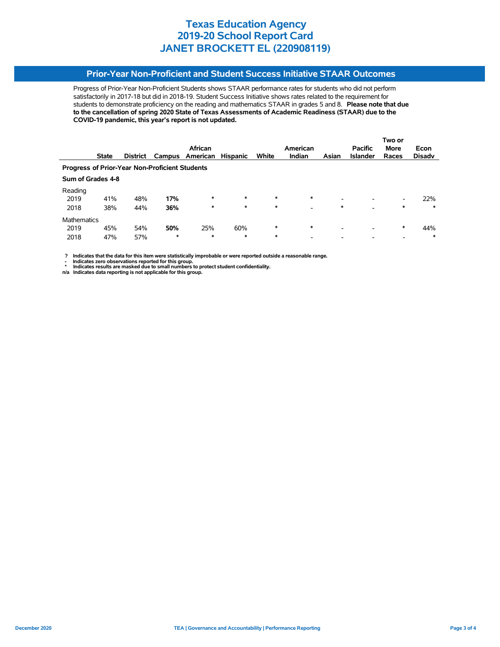## **Prior-Year Non-Proficient and Student Success Initiative STAAR Outcomes**

Progress of Prior-Year Non-Proficient Students shows STAAR performance rates for students who did not perform satisfactorily in 2017-18 but did in 2018-19. Student Success Initiative shows rates related to the requirement for students to demonstrate proficiency on the reading and mathematics STAAR in grades 5 and 8. **Please note that due to the cancellation of spring 2020 State of Texas Assessments of Academic Readiness (STAAR) due to the COVID-19 pandemic, this year's report is not updated.**

|                                                       |                   |                 |         |          |                 |        |               |        | Two or          |             |               |  |
|-------------------------------------------------------|-------------------|-----------------|---------|----------|-----------------|--------|---------------|--------|-----------------|-------------|---------------|--|
|                                                       |                   |                 |         | African  |                 |        | American      |        | <b>Pacific</b>  | <b>More</b> | Econ          |  |
|                                                       | <b>State</b>      | <b>District</b> | Campus  | American | <b>Hispanic</b> | White  | <b>Indian</b> | Asian  | <b>Islander</b> | Races       | <b>Disady</b> |  |
| <b>Progress of Prior-Year Non-Proficient Students</b> |                   |                 |         |          |                 |        |               |        |                 |             |               |  |
|                                                       | Sum of Grades 4-8 |                 |         |          |                 |        |               |        |                 |             |               |  |
| Reading                                               |                   |                 |         |          |                 |        |               |        |                 |             |               |  |
| 2019                                                  | 41%               | 48%             | 17%     | *        | $\ast$          | $\ast$ | $\ast$        | -      |                 | -           | 22%           |  |
| 2018                                                  | 38%               | 44%             | 36%     | *        | *               | $\ast$ | ۰             | $\ast$ |                 | *           | $\ast$        |  |
| <b>Mathematics</b>                                    |                   |                 |         |          |                 |        |               |        |                 |             |               |  |
| 2019                                                  | 45%               | 54%             | 50%     | 25%      | 60%             | $\ast$ | $\ast$        | -      | -               | *           | 44%           |  |
| 2018                                                  | 47%               | 57%             | $\star$ | $\ast$   | $\ast$          | $\ast$ | -             |        |                 |             | $\ast$        |  |

 **? Indicates that the data for this item were statistically improbable or were reported outside a reasonable range.**

**1.** Indicates zero observations reported for this group.<br> **1.** Indicates zero the sex mealed for this group.

 **\* Indicates results are masked due to small numbers to protect student confidentiality. n/a Indicates data reporting is not applicable for this group.**